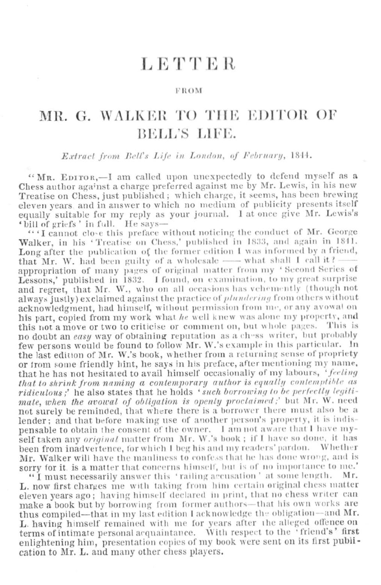# LETTER

#### FROM

# MR. G. WALKER TO THE EDITOR OF **BELL'S LIFE.**

Extract from Bell's Life in London, of February, 1844.

"MR. EDITOR.-I am called upon unexpectedly to defend myself as a Chess author against a charge preferred against me by Mr. Lewis, in his new Treatise on Chess, just published; which charge, it seems, has been brewing eleven years, and in answer to which no medium of publicity presents itself equally suitable for my reply as your journal. I at once give Mr. Lewis's 'bill of griefs' in full. He says-

"'I cannot close this preface without noticing the conduct of Mr. George Walker, in his 'Treatise on Chess,' published in 1833, and again in 1841. Long after the publication of the former edition I was informed by a friend, that Mr. W. had been guilty of a wholesale - what shall I call it? appropriation of many pages of original matter from my 'Second Series of Lessons,' published in 1832. I found, on examination, to my great surprise and regret, that Mr. W., who on all occasions has vehemently (though not always justly) exclaimed against the practice of *plundering* from others without acknowledgment, had himself, without permission from me, or any avowal on his part, copied from my work what he well knew was alone my property, and this not a move or two to criticise or comment on, but whole pages. This is no doubt an easy way of obtaining reputation as a ch-ss writer, but probably few persons would be found to follow Mr. W.'s example in this particular. In the last edition of Mr. W.'s book, whether from a returning sense of propriety or from some friendly hint, he says in his preface, after mentioning my name, that he has not hesitated to avail himself occasionally of my labours. 'feeling that to shrink from naming a contemporary author is equally contemptible as ridiculous;' he also states that he holds 'such borrowing to be perfectly legitimate, when the avowal of obligation is openly proclaimed;' but Mr. W. need not surely be reminded, that where there is a borrower there must also be a lender; and that before making use of another person's property, it is indispensable to obtain the consent of the owner. I am not aware that I have myself taken any *original* matter from Mr. W.'s book; if I have so done, it has been from inadvertence, for which I beg his and my readers' pardon. Whether Mr. Walker will have the manliness to confess that he has done wrong, and is sorry for it. is a matter that concerns himself, but is of no importance to me.'

"I must necessarily answer this 'railing accusation' at some length. Mr. L. now first charges me with taking from him certain original chess matter eleven years ago; having himself declared in print, that no chess writer can make a book but by borrowing from former authors-that his own works are thus compiled-that in my last edition I acknowledge the obligation-and Mr. L. having himself remained with me for years after the alleged offence on terms of intimate personal acquaintance. With respect to the 'friend's' first enlightening him, presentation copies of my book were sent on its first publication to Mr. L. and many other chess players.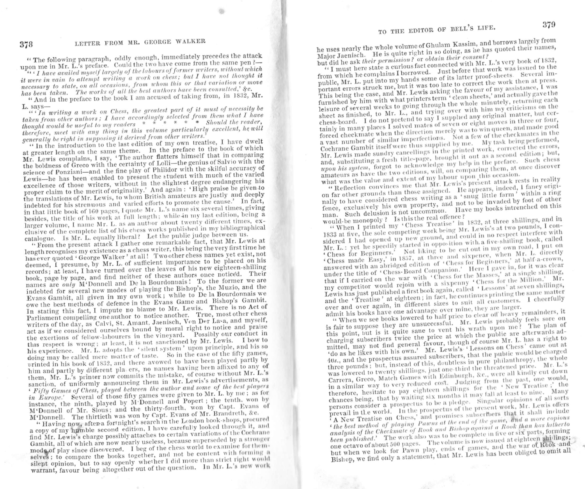"The following paragraph, oddly enough, immediately precedes the attack upon me in Mr. L's preface. Could the two have come from the same pen?-

"" I have availed myself largely of the labours of former writers, without which it were in vain to attempt writing a work on chess; but I have not thought it necessary to state, on all occasions, from whom this or that variation or move has been taken. The works of all the best authors have been consulted,' &c.

" And in the preface to the book I am accused of taking from, in 1832, Mr. L. says-

 $\overline{u}$  if  $\overline{f}n$  writing a work on Chess, the greatest part of it must of necessity be taken from other authors; I have accordingly selected from them what I have thought would be useful to my readers  $* * * * * * * *$  Should the reader, therefore, meet with any thing in this volume particularly excellent, he will generally be right in supposing it derived from other writers.

" In the introduction to the last edition of my own treatise, I have dwelt at greater length on the same theme. In the preface to the book of which Mr. Lewis complains, I say, 'The author flatters himself that in comparing the boldness of Greco with the certainty of Lolli-the genius of Salvio with the science of Ponziani-and the fine play of Philidor with the skilful accuracy of Lewis-he has been enabled to present the student with much of the varied excellence of those writers, without in the slightest degree endangering his proper claim to the merit of originality.' And again: 'High praise be given to the translations of Mr. Lewis, to whom British amateurs are justly and deeply indebted for his strenuous and varied efforts to promote the cause.' In fact, in that little book of 160 pages, I quote Mr. L.'s name six several times, giving besides, the title of his work at full length; while in my last edition, being a larger volume, I name Mr. L. as an author about twenty different times, exclusive of the complete list of his chess works published in my bibliographical catalogue. Is Mr. L. equally liberal? Let the public judge between us.

"From the present attack I gather one remarkable fact, that Mr. Lewis at length recognises my existence as a chess writer, this being the very first time he has ever quoted 'George Walker' at all! Two other chess names yet exist, not deemed, I presume, by Mr. L. of sufficient importance to be placed on his records; at least, I have turned over the leaves of his new eighteen-shilling book, page by page, and find neither of these authors once noticed. Their names are only M'Donnell and De la Bourdonnais! To the former we are indebted for several new modes of playing the Bishop's, the Muzio, and the Evans Gambit, all given in my own work; while to De la Bourdonnais we owe the best methods of defence in the Evans Game and Bishop's Gambit. In stating this fact, I impute no blame to Mr. Lewis. There is no Act of Parliament compelling one author to notice another. True, most other chess writers of the day, as Calvi, St. Amant, Jaenisch, Von Der Lava, and myself, act as if we considered ourselves bound by moral right to notice and praise the exertions of fellow-labourers in the vineyard. Possibly our conduct in this respect is wrong; at least, it is not sanctioned by Mr. Lewis. I bow to his experience. Mr. L. adopts the 'silent system' upon principle, and his so doing may be called mere matter of taste. So in the case of the fifty games. printed in his book of 1832, and there avowed to have been played partly by him and partly by different pla. ers, no names having been affixed to any of them, Mr. L.'s printer now commits the mistake, of course without Mr. L.'s sanction, of uniformly announcing them in Mr. Lewis's advertisements, as ' Fifty Games of Chess, played between the author and some of the best players in Europe.' Several of those fifty games were given to Mr. L. by me; as for instance, the ninth, played by M Donnell and Popert; the tenth, won by M'Donnell of Mr. Slous; and the thirty-fourth, won by Capt. Evans of M'Donnell. The thirtieth was won by Capt. Evans of Mr. Brandreth, &c.

"Having now, after a fortnight's search in the London book-shops, procured a copy of my humble second edition, I have carefully looked through it, and find Mr. Lewis's charge possibly attaches to certain variations of the Cochrane Gambit, all of which are now nearly useless, because superseded by a stronger mode of play since discovered. I beg of the chess world to examine for themselves; to compare the books together, and not be content with forming a silept opinion, but to say openly whether I did more than strict right would warrant, favour being altogether out of the question. In Mr. L's new work he uses nearly the whole volume of Ghulam Kassim, and borrows largely from Major Jaenisch. He is quite right in so doing, as he has quoted their names, but did he ask their permission? or obtain their consent?

"I must here state a curious fact connected with Mr. L's very book of 1832, from which he complains I borrowed. Just before that work was issued to the public, Mr. L. put into my hands some of its latter proof-sheets. Several impublic, Mr. L. put into my hands some of its latter proof-sheets. Several portant errors struck me, but it was too late to correct the work then at press. This being the case, and Mr. Lewis asking the favour of my assistance, I was furnished by him with what printers term "clean sheets,' and actually gave the leisure of several weeks to going through the whole minutely, returning each sheet as finished, to Mr. L., and trying over with him my criticisms on the chess-board. I do not pretend to say I supplied any original matter, but certainly in many places I solved mates of seven or eight moves in three or four, forced checkmate when the direction merely was to win queen, and made good a vast number of similar imperfections. Not a few of the checkmates in the Cochrane Gambit itself were thus supplied by me. My task being performed, Mr. Lewis made sundry cancellings in the printed work, corrected the errors, and, substituting a fresh title-page, brought it out as a second edition; but, upon his system, forgot to acknowledge my help in the preface. Such chess amateurs as have the two editions, will, on comparing them, at once discover what was the value and extent of my labour upon this occasion.

"Reflection convinces me that Mr. Lewis's present attack rests in reality on far other grounds than those assigned. He appears, indeed, I fancy originally to have considered chess writing as a 'snug little farm' within a ring fence, exclusively his own property, and not to be invaded by foot of other man. Such delusion is not uncommon. Have my books intrenched on this would-be monopoly ? Is this the real offence?

" When I printed my 'Chess Treatise' in 1832, at three shillings, and in 1833 at five, the sole competing work being Mr. Lewis's at two pounds, I considered I had opened up new ground, and could in no respect interfere with Mr. L. : yet he speedily started in opposition with a five-shilling book, called 'Chess for Beginners.' Not liking to be cut out in my own road, I put on 'Chess made Easy,' in 1837, at three and sixpence, when Mr. L. directly answered with an abridged edition of 'Chess for Beginners,' at half-a-crown, under the title of 'Chess-Board Companion.' Here I gave in, for it was clear that if I carried on the war with 'Chess for the Masses,' at a single shilling, my competitor would rejoin with a sixpenny 'Chess for the Million.' Mr. Lewis has just published a first book again, called 'Lessons' at seven shillings, and the 'Treatise' at eighteen; in fact, he continues printing the same matter over and over again, in different sizes to suit all customers. I cheerfully admit his books have one advantage over mine, they are larger.

" When we see books lowered to half price to clear off heavy remainders, it is fair to suppose they are unsuccessful. Mr. Lewis probably feels sore on this point, but is it quite sane to vent his wrath upon me? The plan of charging subscribers twice the price at which the public are afterwards admitted, may not find general favour, though of course Mr. L. has a right to "do as he likes with his own." Mr. Lewis's "Lessons on Chess" came out at 40s., and the prospectus assured subscribers, that the public would be charged three pounds; but, instead of this, doubtless in pure philanthropy, the whole was lowered to twenty shillings, just one-third the threatened price. Mr. L's Carrera, Greco, Match Games with Edinburgh, &c., were all kindly cut down in a similar way to very reduced cost. Judging from the past, one would, therefore, hesitate to pay eighteen shillings for the 'New Treatise;' the chances being, that by waiting six months it may fall at least to nine. Many persons consider a prospectus to be a pledge. Singular opinions of all sorts prevail in the world. In the prospectus of the present work, Mr. Lewis offers <sup>7</sup> A New Treatise on Chess, and promises subscribers that it shall include " the best method of playing Pawns at the end of the game, and a more copious analysis of the Checkmate of Rook and Bishop against a Rook than has hitherto been published.' The work also was to be complete in five or six parts, forming one octavo of about 500 pages. The volume is now issued at eighteen shirlings; but when we look for Pawn play, ends of games, and the war of Rtook and Bishop, we find only a statement, that Mr. Lewis has been obliged to omit all